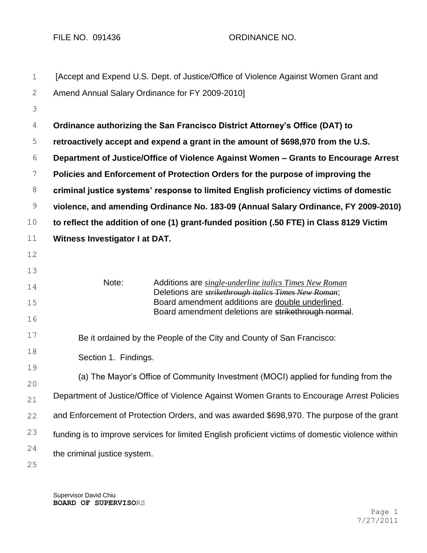FILE NO. 091436 ORDINANCE NO.

| $\mathbf 1$    | [Accept and Expend U.S. Dept. of Justice/Office of Violence Against Women Grant and               |                                                                                                                               |  |  |  |
|----------------|---------------------------------------------------------------------------------------------------|-------------------------------------------------------------------------------------------------------------------------------|--|--|--|
| 2              | Amend Annual Salary Ordinance for FY 2009-2010]                                                   |                                                                                                                               |  |  |  |
| 3              |                                                                                                   |                                                                                                                               |  |  |  |
| $\overline{4}$ | Ordinance authorizing the San Francisco District Attorney's Office (DAT) to                       |                                                                                                                               |  |  |  |
| 5              | retroactively accept and expend a grant in the amount of \$698,970 from the U.S.                  |                                                                                                                               |  |  |  |
| $\sqrt{6}$     | Department of Justice/Office of Violence Against Women - Grants to Encourage Arrest               |                                                                                                                               |  |  |  |
| 7              | Policies and Enforcement of Protection Orders for the purpose of improving the                    |                                                                                                                               |  |  |  |
| $\,8\,$        | criminal justice systems' response to limited English proficiency victims of domestic             |                                                                                                                               |  |  |  |
| $\mathsf 9$    | violence, and amending Ordinance No. 183-09 (Annual Salary Ordinance, FY 2009-2010)               |                                                                                                                               |  |  |  |
| 10             | to reflect the addition of one (1) grant-funded position (.50 FTE) in Class 8129 Victim           |                                                                                                                               |  |  |  |
| 11             | Witness Investigator I at DAT.                                                                    |                                                                                                                               |  |  |  |
| 12             |                                                                                                   |                                                                                                                               |  |  |  |
| 13             |                                                                                                   |                                                                                                                               |  |  |  |
| 14             | Note:                                                                                             | Additions are <i>single-underline italics Times New Roman</i><br>Deletions are <i>strikethrough italics Times New Roman</i> ; |  |  |  |
| 15             |                                                                                                   | Board amendment additions are double underlined.<br>Board amendment deletions are strikethrough normal.                       |  |  |  |
| 16             |                                                                                                   |                                                                                                                               |  |  |  |
| 17             | Be it ordained by the People of the City and County of San Francisco:                             |                                                                                                                               |  |  |  |
| 18             | Section 1. Findings.                                                                              |                                                                                                                               |  |  |  |
| 19             | (a) The Mayor's Office of Community Investment (MOCI) applied for funding from the                |                                                                                                                               |  |  |  |
| 20             |                                                                                                   |                                                                                                                               |  |  |  |
| 21             | Department of Justice/Office of Violence Against Women Grants to Encourage Arrest Policies        |                                                                                                                               |  |  |  |
| 22             | and Enforcement of Protection Orders, and was awarded \$698,970. The purpose of the grant         |                                                                                                                               |  |  |  |
| 23             | funding is to improve services for limited English proficient victims of domestic violence within |                                                                                                                               |  |  |  |
| 24             | the criminal justice system.                                                                      |                                                                                                                               |  |  |  |
| 25             |                                                                                                   |                                                                                                                               |  |  |  |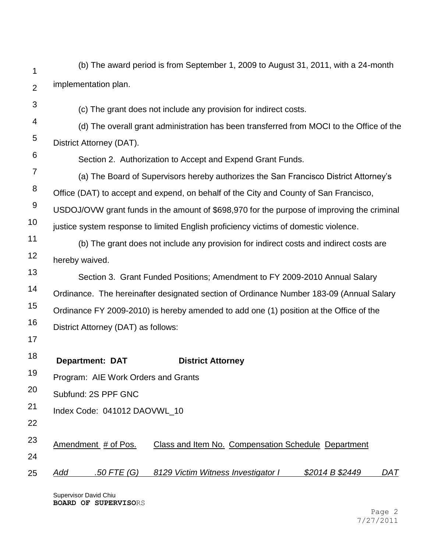| 1              | (b) The award period is from September 1, 2009 to August 31, 2011, with a 24-month         |  |  |  |  |  |
|----------------|--------------------------------------------------------------------------------------------|--|--|--|--|--|
| $\overline{2}$ | implementation plan.                                                                       |  |  |  |  |  |
| 3              | (c) The grant does not include any provision for indirect costs.                           |  |  |  |  |  |
| 4              | (d) The overall grant administration has been transferred from MOCI to the Office of the   |  |  |  |  |  |
| 5              | District Attorney (DAT).                                                                   |  |  |  |  |  |
| 6              | Section 2. Authorization to Accept and Expend Grant Funds.                                 |  |  |  |  |  |
| 7              | (a) The Board of Supervisors hereby authorizes the San Francisco District Attorney's       |  |  |  |  |  |
| 8              | Office (DAT) to accept and expend, on behalf of the City and County of San Francisco,      |  |  |  |  |  |
| $\overline{9}$ | USDOJ/OVW grant funds in the amount of \$698,970 for the purpose of improving the criminal |  |  |  |  |  |
| 10             | justice system response to limited English proficiency victims of domestic violence.       |  |  |  |  |  |
| 11             | (b) The grant does not include any provision for indirect costs and indirect costs are     |  |  |  |  |  |
| 12             | hereby waived.                                                                             |  |  |  |  |  |
| 13             | Section 3. Grant Funded Positions; Amendment to FY 2009-2010 Annual Salary                 |  |  |  |  |  |
| 14             | Ordinance. The hereinafter designated section of Ordinance Number 183-09 (Annual Salary    |  |  |  |  |  |
| 15             | Ordinance FY 2009-2010) is hereby amended to add one (1) position at the Office of the     |  |  |  |  |  |
| 16             | District Attorney (DAT) as follows:                                                        |  |  |  |  |  |
| 17             |                                                                                            |  |  |  |  |  |
| 18             | <b>Department: DAT</b><br><b>District Attorney</b>                                         |  |  |  |  |  |
| 19             | Program: AIE Work Orders and Grants                                                        |  |  |  |  |  |
| 20             | Subfund: 2S PPF GNC                                                                        |  |  |  |  |  |
| 21             | Index Code: 041012 DAOVWL_10                                                               |  |  |  |  |  |
| 22             |                                                                                            |  |  |  |  |  |
| 23             | Amendment # of Pos.<br>Class and Item No. Compensation Schedule Department                 |  |  |  |  |  |
| 24             |                                                                                            |  |  |  |  |  |
| 25             | .50 FTE (G)<br>8129 Victim Witness Investigator I<br>\$2014 B \$2449<br>DAT<br><u>Add</u>  |  |  |  |  |  |

Supervisor David Chiu **BOARD OF SUPERVISO**RS